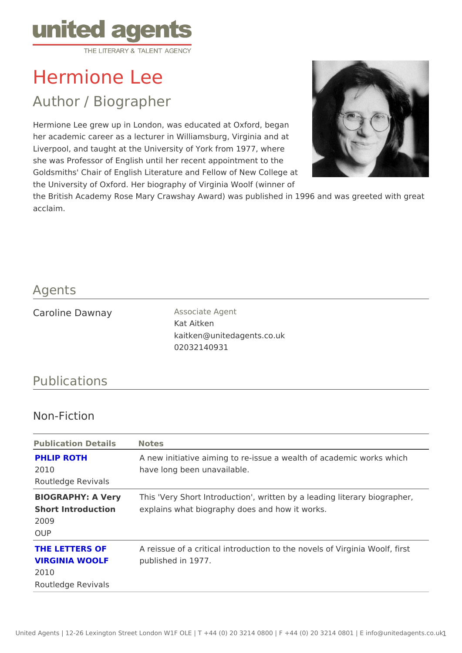# Hermione Lee

## Author / Biographer

Hermione Lee grew up in London, was educated at Oxford, began her academic career as a lecturer in Williamsburg, Virginia and at Liverpool, and taught at the University of York from 1977, where she was Professor of English until her recent appointment to the Goldsmiths' Chair of English Literature and Fellow of New College at the University of Oxford. Her biography of Virginia Woolf (winner of the British Academy Rose Mary Crawshay Award) was published in 1996 and w acclaim.

#### Agents

| Caroline Dawnay | Associate Agent            |
|-----------------|----------------------------|
|                 | Kat Aitken                 |
|                 | kaitken@unitedagents.co.uk |
|                 | 02032140931                |

### Publications

### Non-Fiction

| Publication Details Notes                |                                                                                           |
|------------------------------------------|-------------------------------------------------------------------------------------------|
| PHLIP ROTH<br>2010<br>Routledge Revivals | A new initiative aiming to re-issue a wealth of academic w<br>have long been unavailable. |
| 2009                                     | BIOGRAPHY: A Very his 'Very Short Introduction', written by a leading literar             |
| OUP                                      | Short Introduction explains what biography does and how it works.                         |
| 2010                                     | THE LETTERS OF A reissue of a critical introduction to the novels of Virgin               |
| Routledge Revivals                       | VIRGINIA WOOLF published in 1977.                                                         |